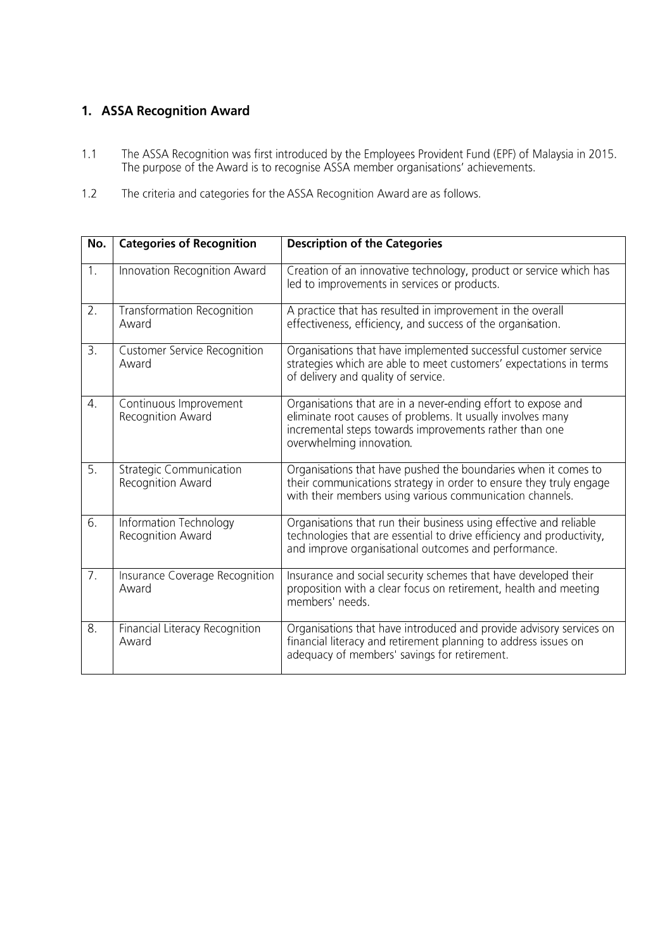## 1. ASSA Recognition Award

- The ASSA Recognition was first introduced by the Employees Provident Fund (EPF) of Malaysia in 2015.<br>The purpose of the Award is to recognise ASSA member organisations' achievements.  $1.1$
- $1.2$ The criteria and categories for the ASSA Recognition Award are as follows.

| No.              | <b>Categories of Recognition</b>                    | <b>Description of the Categories</b>                                                                                                                                                                               |
|------------------|-----------------------------------------------------|--------------------------------------------------------------------------------------------------------------------------------------------------------------------------------------------------------------------|
| 1.               | Innovation Recognition Award                        | Creation of an innovative technology, product or service which has<br>led to improvements in services or products.                                                                                                 |
| $\overline{2}$ . | <b>Transformation Recognition</b><br>Award          | A practice that has resulted in improvement in the overall<br>effectiveness, efficiency, and success of the organisation.                                                                                          |
| 3.               | <b>Customer Service Recognition</b><br>Award        | Organisations that have implemented successful customer service<br>strategies which are able to meet customers' expectations in terms<br>of delivery and quality of service.                                       |
| 4.               | Continuous Improvement<br>Recognition Award         | Organisations that are in a never-ending effort to expose and<br>eliminate root causes of problems. It usually involves many<br>incremental steps towards improvements rather than one<br>overwhelming innovation. |
| 5.               | <b>Strategic Communication</b><br>Recognition Award | Organisations that have pushed the boundaries when it comes to<br>their communications strategy in order to ensure they truly engage<br>with their members using various communication channels.                   |
| 6.               | Information Technology<br>Recognition Award         | Organisations that run their business using effective and reliable<br>technologies that are essential to drive efficiency and productivity,<br>and improve organisational outcomes and performance.                |
| 7.               | Insurance Coverage Recognition<br>Award             | Insurance and social security schemes that have developed their<br>proposition with a clear focus on retirement, health and meeting<br>members' needs.                                                             |
| $\overline{8}$ . | Financial Literacy Recognition<br>Award             | Organisations that have introduced and provide advisory services on<br>financial literacy and retirement planning to address issues on<br>adequacy of members' savings for retirement.                             |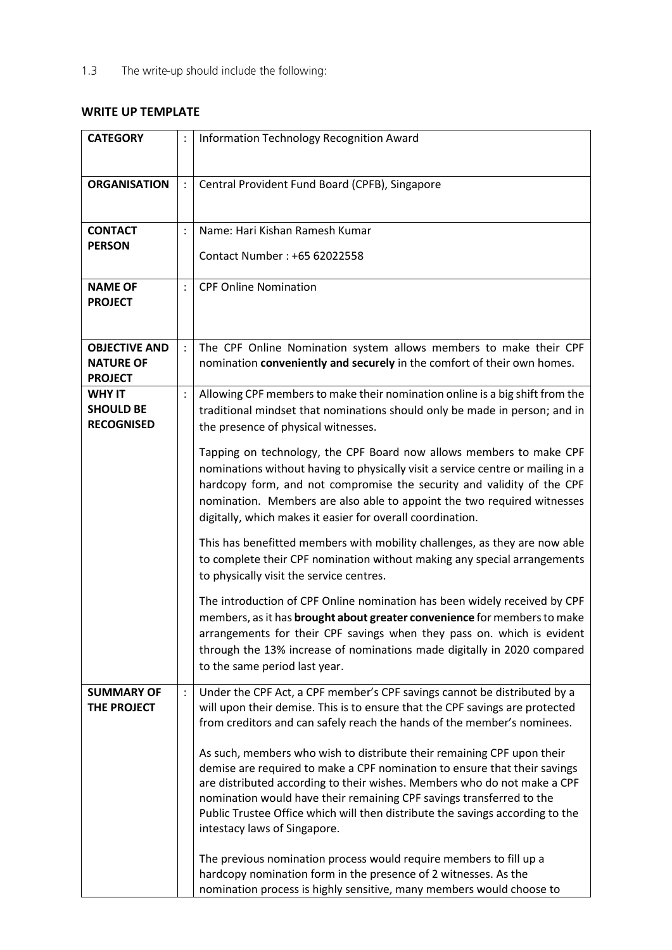## **WRITE UP TEMPLATE**

| <b>CATEGORY</b>                                            |                | Information Technology Recognition Award                                                                                                                                                                                                                                                                                                                                                                                                                                                                                                                                                                                                                                                                                                                                                                                                                                                                                                                                                                                                                                                                                            |
|------------------------------------------------------------|----------------|-------------------------------------------------------------------------------------------------------------------------------------------------------------------------------------------------------------------------------------------------------------------------------------------------------------------------------------------------------------------------------------------------------------------------------------------------------------------------------------------------------------------------------------------------------------------------------------------------------------------------------------------------------------------------------------------------------------------------------------------------------------------------------------------------------------------------------------------------------------------------------------------------------------------------------------------------------------------------------------------------------------------------------------------------------------------------------------------------------------------------------------|
| <b>ORGANISATION</b>                                        |                | Central Provident Fund Board (CPFB), Singapore                                                                                                                                                                                                                                                                                                                                                                                                                                                                                                                                                                                                                                                                                                                                                                                                                                                                                                                                                                                                                                                                                      |
| <b>CONTACT</b><br><b>PERSON</b>                            |                | Name: Hari Kishan Ramesh Kumar<br>Contact Number: +65 62022558                                                                                                                                                                                                                                                                                                                                                                                                                                                                                                                                                                                                                                                                                                                                                                                                                                                                                                                                                                                                                                                                      |
| <b>NAME OF</b><br><b>PROJECT</b>                           | $\ddot{\cdot}$ | <b>CPF Online Nomination</b>                                                                                                                                                                                                                                                                                                                                                                                                                                                                                                                                                                                                                                                                                                                                                                                                                                                                                                                                                                                                                                                                                                        |
| <b>OBJECTIVE AND</b><br><b>NATURE OF</b><br><b>PROJECT</b> |                | The CPF Online Nomination system allows members to make their CPF<br>nomination conveniently and securely in the comfort of their own homes.                                                                                                                                                                                                                                                                                                                                                                                                                                                                                                                                                                                                                                                                                                                                                                                                                                                                                                                                                                                        |
| <b>WHY IT</b><br><b>SHOULD BE</b><br><b>RECOGNISED</b>     |                | Allowing CPF members to make their nomination online is a big shift from the<br>traditional mindset that nominations should only be made in person; and in<br>the presence of physical witnesses.<br>Tapping on technology, the CPF Board now allows members to make CPF<br>nominations without having to physically visit a service centre or mailing in a<br>hardcopy form, and not compromise the security and validity of the CPF<br>nomination. Members are also able to appoint the two required witnesses<br>digitally, which makes it easier for overall coordination.<br>This has benefitted members with mobility challenges, as they are now able<br>to complete their CPF nomination without making any special arrangements<br>to physically visit the service centres.<br>The introduction of CPF Online nomination has been widely received by CPF<br>members, as it has brought about greater convenience for members to make<br>arrangements for their CPF savings when they pass on. which is evident<br>through the 13% increase of nominations made digitally in 2020 compared<br>to the same period last year. |
| <b>SUMMARY OF</b><br>THE PROJECT                           | $\ddot{\cdot}$ | Under the CPF Act, a CPF member's CPF savings cannot be distributed by a<br>will upon their demise. This is to ensure that the CPF savings are protected<br>from creditors and can safely reach the hands of the member's nominees.<br>As such, members who wish to distribute their remaining CPF upon their<br>demise are required to make a CPF nomination to ensure that their savings<br>are distributed according to their wishes. Members who do not make a CPF<br>nomination would have their remaining CPF savings transferred to the<br>Public Trustee Office which will then distribute the savings according to the<br>intestacy laws of Singapore.<br>The previous nomination process would require members to fill up a<br>hardcopy nomination form in the presence of 2 witnesses. As the<br>nomination process is highly sensitive, many members would choose to                                                                                                                                                                                                                                                    |